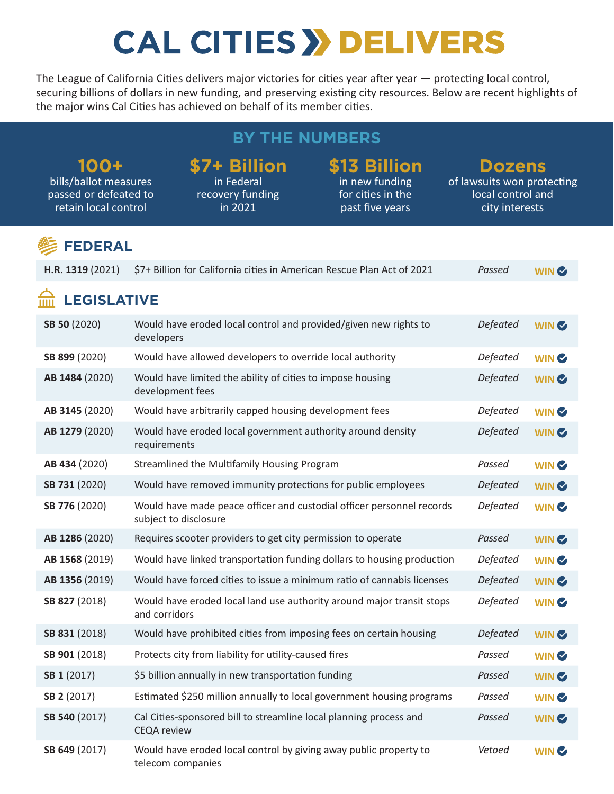# **CAL CITIES >> DELIVERS**

The League of California Cities delivers major victories for cities year after year — protecting local control, securing billions of dollars in new funding, and preserving existing city resources. Below are recent highlights of the major wins Cal Cities has achieved on behalf of its member cities.

## **BY THE NUMBERS**

#### **100+**

bills/ballot measures passed or defeated to retain local control

#### **\$7+ Billion**  in Federal

recovery funding in 2021

# **\$13 Billion**

in new funding for cities in the past five years

# **Dozens**

of lawsuits won protecting local control and city interests

### **FEDERAL**

| H.R. 1319 (2021)   | \$7+ Billion for California cities in American Rescue Plan Act of 2021                         | Passed          | WIN <b>&amp;</b> |
|--------------------|------------------------------------------------------------------------------------------------|-----------------|------------------|
| <b>LEGISLATIVE</b> |                                                                                                |                 |                  |
| SB 50 (2020)       | Would have eroded local control and provided/given new rights to<br>developers                 | Defeated        | WIN <b>&amp;</b> |
| SB 899 (2020)      | Would have allowed developers to override local authority                                      | Defeated        | WIN <b>&amp;</b> |
| AB 1484 (2020)     | Would have limited the ability of cities to impose housing<br>development fees                 | <b>Defeated</b> | WIN <sup>C</sup> |
| AB 3145 (2020)     | Would have arbitrarily capped housing development fees                                         | Defeated        | WIN <b>&amp;</b> |
| AB 1279 (2020)     | Would have eroded local government authority around density<br>requirements                    | Defeated        | WIN <b>&amp;</b> |
| AB 434 (2020)      | Streamlined the Multifamily Housing Program                                                    | Passed          | WIN <b>&amp;</b> |
| SB 731 (2020)      | Would have removed immunity protections for public employees                                   | Defeated        | WIN <b>&amp;</b> |
| SB 776 (2020)      | Would have made peace officer and custodial officer personnel records<br>subject to disclosure | Defeated        | WIN <b>&amp;</b> |
| AB 1286 (2020)     | Requires scooter providers to get city permission to operate                                   | Passed          | WIN <b>&amp;</b> |
| AB 1568 (2019)     | Would have linked transportation funding dollars to housing production                         | Defeated        | WIN <b>&amp;</b> |
| AB 1356 (2019)     | Would have forced cities to issue a minimum ratio of cannabis licenses                         | Defeated        | WIN <b>&amp;</b> |
| SB 827 (2018)      | Would have eroded local land use authority around major transit stops<br>and corridors         | Defeated        | WIN <b>&amp;</b> |
| SB 831 (2018)      | Would have prohibited cities from imposing fees on certain housing                             | Defeated        | WIN <b>C</b>     |
| SB 901 (2018)      | Protects city from liability for utility-caused fires                                          | Passed          | WIN <b>&amp;</b> |
| SB 1 (2017)        | \$5 billion annually in new transportation funding                                             | Passed          | WIN <b>&amp;</b> |
| SB 2 (2017)        | Estimated \$250 million annually to local government housing programs                          | Passed          | WIN <b>&amp;</b> |
| SB 540 (2017)      | Cal Cities-sponsored bill to streamline local planning process and<br><b>CEQA</b> review       | Passed          | WIN <sup>C</sup> |
| SB 649 (2017)      | Would have eroded local control by giving away public property to<br>telecom companies         | Vetoed          | WIN <b>C</b>     |